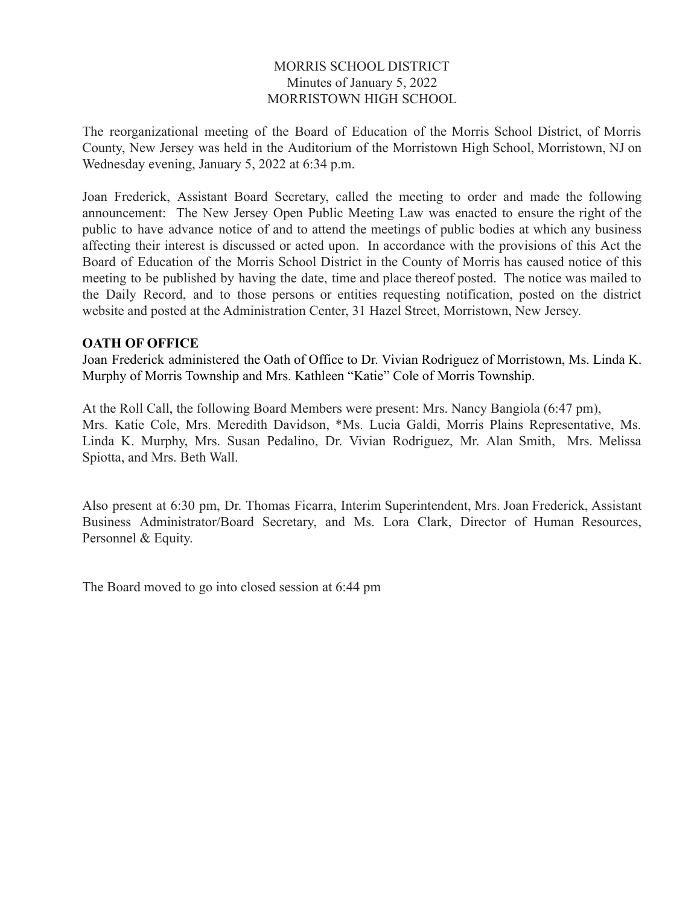# MORRIS SCHOOL DISTRICT Minutes of January 5, 2022 MORRISTOWN HIGH SCHOOL

The reorganizational meeting of the Board of Education of the Morris School District, of Morris County, New Jersey was held in the Auditorium of the Morristown High School, Morristown, NJ on Wednesday evening, January 5, 2022 at 6:34 p.m.

Joan Frederick, Assistant Board Secretary, called the meeting to order and made the following announcement: The New Jersey Open Public Meeting Law was enacted to ensure the right of the public to have advance notice of and to attend the meetings of public bodies at which any business affecting their interest is discussed or acted upon. In accordance with the provisions of this Act the Board of Education of the Morris School District in the County of Morris has caused notice of this meeting to be published by having the date, time and place thereof posted. The notice was mailed to the Daily Record, and to those persons or entities requesting notification, posted on the district website and posted at the Administration Center, 31 Hazel Street, Morristown, New Jersey.

### **OATH OF OFFICE**

Joan Frederick administered the Oath of Office to Dr. Vivian Rodriguez of Morristown, Ms. Linda K. Murphy of Morris Township and Mrs. Kathleen "Katie" Cole of Morris Township.

At the Roll Call, the following Board Members were present: Mrs. Nancy Bangiola (6:47 pm), Mrs. Katie Cole, Mrs. Meredith Davidson, \*Ms. Lucia Galdi, Morris Plains Representative, Ms. Linda K. Murphy, Mrs. Susan Pedalino, Dr. Vivian Rodriguez, Mr. Alan Smith, Mrs. Melissa Spiotta, and Mrs. Beth Wall.

Also present at 6:30 pm, Dr. Thomas Ficarra, Interim Superintendent, Mrs. Joan Frederick, Assistant Business Administrator/Board Secretary, and Ms. Lora Clark, Director of Human Resources, Personnel & Equity.

The Board moved to go into closed session at 6:44 pm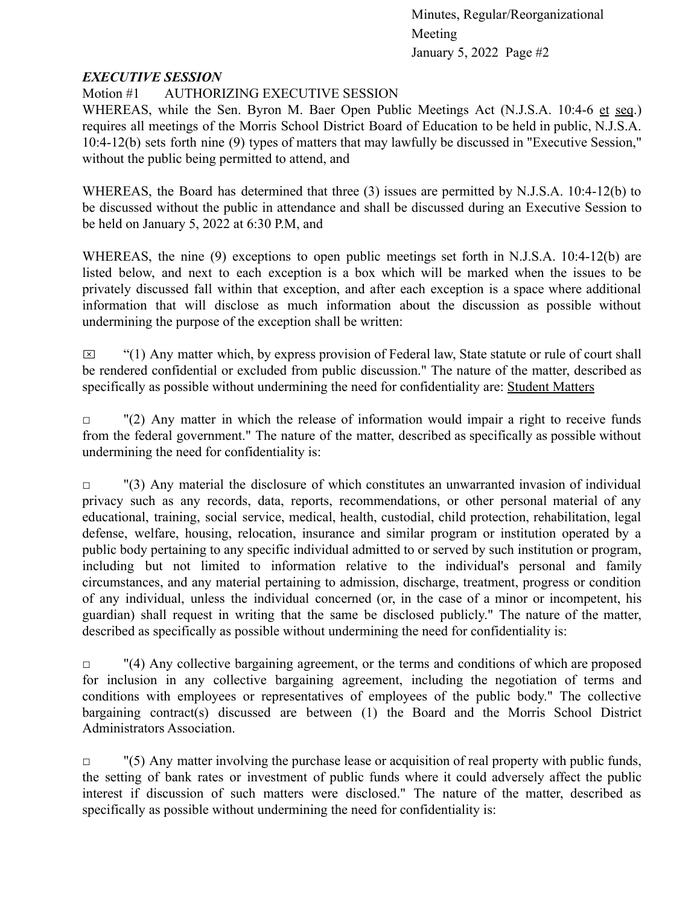### *EXECUTIVE SESSION*

# Motion #1 AUTHORIZING EXECUTIVE SESSION

WHEREAS, while the Sen. Byron M. Baer Open Public Meetings Act (N.J.S.A. 10:4-6 et seq.) requires all meetings of the Morris School District Board of Education to be held in public, N.J.S.A. 10:4-12(b) sets forth nine (9) types of matters that may lawfully be discussed in "Executive Session," without the public being permitted to attend, and

WHEREAS, the Board has determined that three (3) issues are permitted by N.J.S.A. 10:4-12(b) to be discussed without the public in attendance and shall be discussed during an Executive Session to be held on January 5, 2022 at 6:30 P.M, and

WHEREAS, the nine (9) exceptions to open public meetings set forth in N.J.S.A. 10:4-12(b) are listed below, and next to each exception is a box which will be marked when the issues to be privately discussed fall within that exception, and after each exception is a space where additional information that will disclose as much information about the discussion as possible without undermining the purpose of the exception shall be written:

 $\boxtimes$  "(1) Any matter which, by express provision of Federal law, State statute or rule of court shall be rendered confidential or excluded from public discussion." The nature of the matter, described as specifically as possible without undermining the need for confidentiality are: Student Matters

 $\Box$  "(2) Any matter in which the release of information would impair a right to receive funds from the federal government." The nature of the matter, described as specifically as possible without undermining the need for confidentiality is:

 $\Box$  "(3) Any material the disclosure of which constitutes an unwarranted invasion of individual privacy such as any records, data, reports, recommendations, or other personal material of any educational, training, social service, medical, health, custodial, child protection, rehabilitation, legal defense, welfare, housing, relocation, insurance and similar program or institution operated by a public body pertaining to any specific individual admitted to or served by such institution or program, including but not limited to information relative to the individual's personal and family circumstances, and any material pertaining to admission, discharge, treatment, progress or condition of any individual, unless the individual concerned (or, in the case of a minor or incompetent, his guardian) shall request in writing that the same be disclosed publicly." The nature of the matter, described as specifically as possible without undermining the need for confidentiality is:

 $\Box$  (4) Any collective bargaining agreement, or the terms and conditions of which are proposed for inclusion in any collective bargaining agreement, including the negotiation of terms and conditions with employees or representatives of employees of the public body." The collective bargaining contract(s) discussed are between (1) the Board and the Morris School District Administrators Association.

 $\Box$  "(5) Any matter involving the purchase lease or acquisition of real property with public funds, the setting of bank rates or investment of public funds where it could adversely affect the public interest if discussion of such matters were disclosed." The nature of the matter, described as specifically as possible without undermining the need for confidentiality is: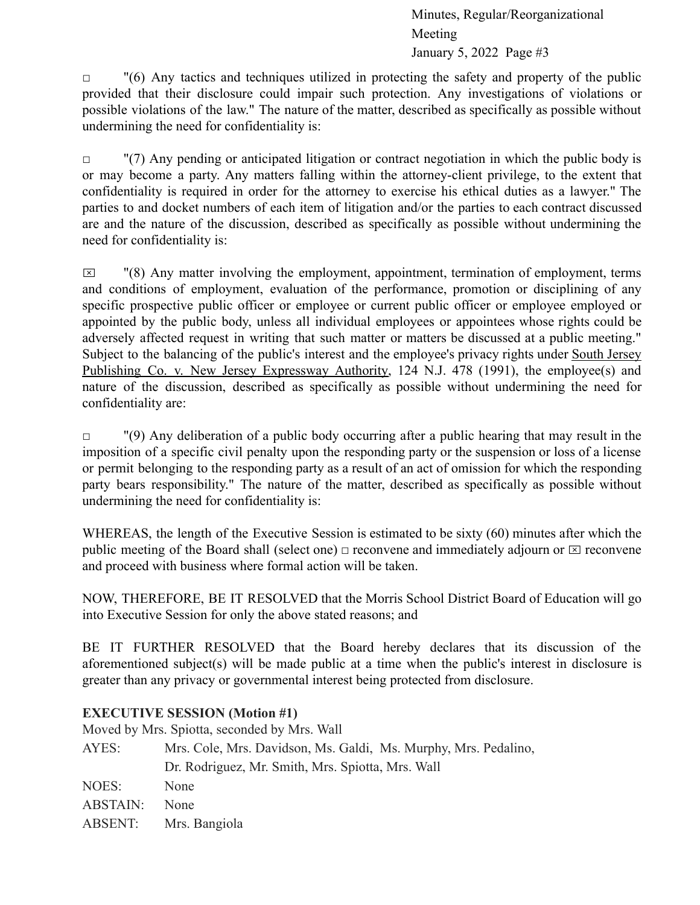$\Box$  "(6) Any tactics and techniques utilized in protecting the safety and property of the public provided that their disclosure could impair such protection. Any investigations of violations or possible violations of the law." The nature of the matter, described as specifically as possible without undermining the need for confidentiality is:

 $\Box$  "(7) Any pending or anticipated litigation or contract negotiation in which the public body is or may become a party. Any matters falling within the attorney-client privilege, to the extent that confidentiality is required in order for the attorney to exercise his ethical duties as a lawyer." The parties to and docket numbers of each item of litigation and/or the parties to each contract discussed are and the nature of the discussion, described as specifically as possible without undermining the need for confidentiality is:

 $\boxtimes$  "(8) Any matter involving the employment, appointment, termination of employment, terms and conditions of employment, evaluation of the performance, promotion or disciplining of any specific prospective public officer or employee or current public officer or employee employed or appointed by the public body, unless all individual employees or appointees whose rights could be adversely affected request in writing that such matter or matters be discussed at a public meeting." Subject to the balancing of the public's interest and the employee's privacy rights under South Jersey Publishing Co. v. New Jersey Expressway Authority, 124 N.J. 478 (1991), the employee(s) and nature of the discussion, described as specifically as possible without undermining the need for confidentiality are:

 $\Box$  "(9) Any deliberation of a public body occurring after a public hearing that may result in the imposition of a specific civil penalty upon the responding party or the suspension or loss of a license or permit belonging to the responding party as a result of an act of omission for which the responding party bears responsibility." The nature of the matter, described as specifically as possible without undermining the need for confidentiality is:

WHEREAS, the length of the Executive Session is estimated to be sixty (60) minutes after which the public meeting of the Board shall (select one)  $\Box$  reconvene and immediately adjourn or  $\boxtimes$  reconvene and proceed with business where formal action will be taken.

NOW, THEREFORE, BE IT RESOLVED that the Morris School District Board of Education will go into Executive Session for only the above stated reasons; and

BE IT FURTHER RESOLVED that the Board hereby declares that its discussion of the aforementioned subject(s) will be made public at a time when the public's interest in disclosure is greater than any privacy or governmental interest being protected from disclosure.

# **EXECUTIVE SESSION (Motion #1)**

Moved by Mrs. Spiotta, seconded by Mrs. Wall

| Mrs. Cole, Mrs. Davidson, Ms. Galdi, Ms. Murphy, Mrs. Pedalino, |
|-----------------------------------------------------------------|
| Dr. Rodriguez, Mr. Smith, Mrs. Spiotta, Mrs. Wall               |
| None                                                            |
| <b>None</b>                                                     |
| ABSENT: Mrs. Bangiola                                           |
|                                                                 |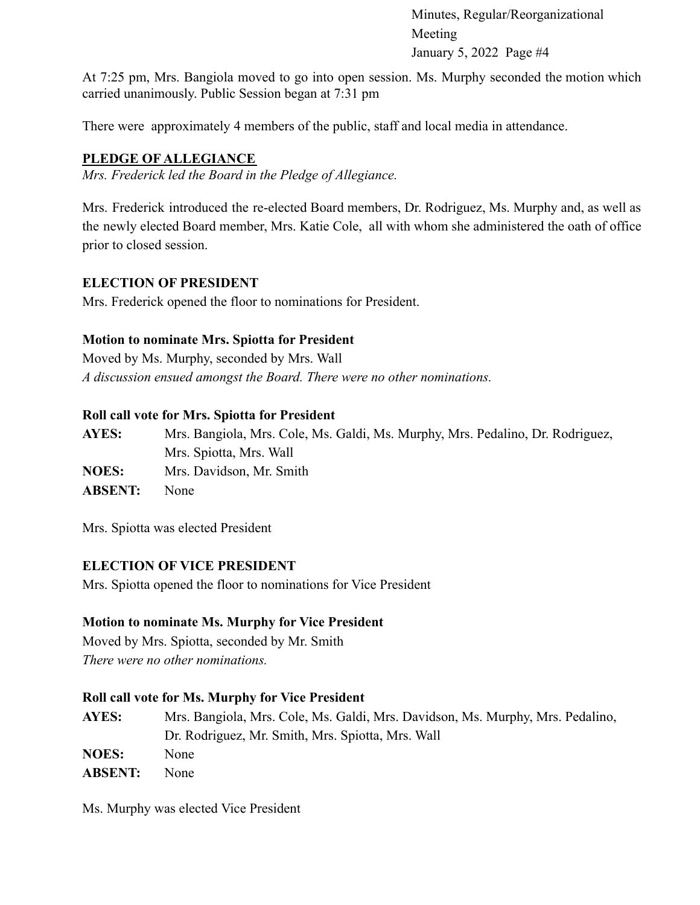At 7:25 pm, Mrs. Bangiola moved to go into open session. Ms. Murphy seconded the motion which carried unanimously. Public Session began at 7:31 pm

There were approximately 4 members of the public, staff and local media in attendance.

# **PLEDGE OF ALLEGIANCE**

*Mrs. Frederick led the Board in the Pledge of Allegiance.*

Mrs. Frederick introduced the re-elected Board members, Dr. Rodriguez, Ms. Murphy and, as well as the newly elected Board member, Mrs. Katie Cole, all with whom she administered the oath of office prior to closed session.

# **ELECTION OF PRESIDENT**

Mrs. Frederick opened the floor to nominations for President.

# **Motion to nominate Mrs. Spiotta for President**

Moved by Ms. Murphy, seconded by Mrs. Wall *A discussion ensued amongst the Board. There were no other nominations.*

### **Roll call vote for Mrs. Spiotta for President**

**AYES:** Mrs. Bangiola, Mrs. Cole, Ms. Galdi, Ms. Murphy, Mrs. Pedalino, Dr. Rodriguez, Mrs. Spiotta, Mrs. Wall **NOES:** Mrs. Davidson, Mr. Smith **ABSENT:** None

Mrs. Spiotta was elected President

# **ELECTION OF VICE PRESIDENT**

Mrs. Spiotta opened the floor to nominations for Vice President

# **Motion to nominate Ms. Murphy for Vice President**

Moved by Mrs. Spiotta, seconded by Mr. Smith *There were no other nominations.*

# **Roll call vote for Ms. Murphy for Vice President**

**AYES:** Mrs. Bangiola, Mrs. Cole, Ms. Galdi, Mrs. Davidson, Ms. Murphy, Mrs. Pedalino, Dr. Rodriguez, Mr. Smith, Mrs. Spiotta, Mrs. Wall **NOES:** None **ABSENT:** None

Ms. Murphy was elected Vice President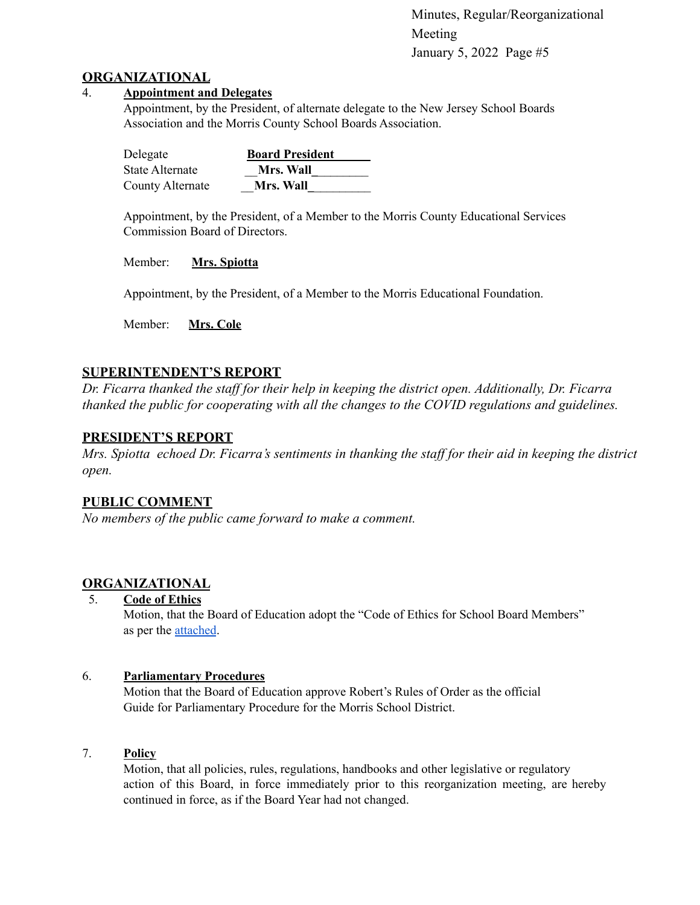#### **ORGANIZATIONAL**

#### 4. **Appointment and Delegates**

Appointment, by the President, of alternate delegate to the New Jersey School Boards Association and the Morris County School Boards Association.

| Delegate         | <b>Board President</b> |
|------------------|------------------------|
| State Alternate  | <b>Mrs. Wall</b>       |
| County Alternate | <b>Mrs. Wall</b>       |

Appointment, by the President, of a Member to the Morris County Educational Services Commission Board of Directors.

Member: **Mrs. Spiotta**

Appointment, by the President, of a Member to the Morris Educational Foundation.

Member: **Mrs. Cole**

### **SUPERINTENDENT'S REPORT**

*Dr. Ficarra thanked the staff for their help in keeping the district open. Additionally, Dr. Ficarra thanked the public for cooperating with all the changes to the COVID regulations and guidelines.*

### **PRESIDENT'S REPORT**

*Mrs. Spiotta echoed Dr. Ficarra's sentiments in thanking the staff for their aid in keeping the district open.*

### **PUBLIC COMMENT**

*No members of the public came forward to make a comment.*

# **ORGANIZATIONAL**

5. **Code of Ethics**

Motion, that the Board of Education adopt the "Code of Ethics for School Board Members" as per the [attached](https://drive.google.com/file/d/1zewNeoOL-qAQyAp_Hy95-d8woftUvpNr/view?usp=sharing).

### 6. **Parliamentary Procedures**

Motion that the Board of Education approve Robert's Rules of Order as the official Guide for Parliamentary Procedure for the Morris School District.

#### 7. **Policy**

Motion, that all policies, rules, regulations, handbooks and other legislative or regulatory action of this Board, in force immediately prior to this reorganization meeting, are hereby continued in force, as if the Board Year had not changed.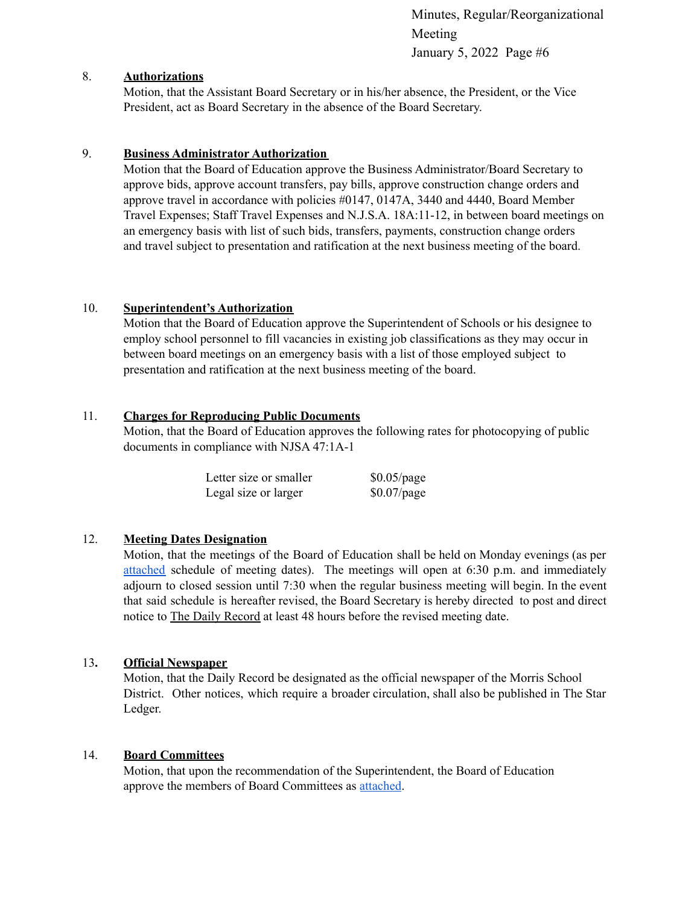#### 8. **Authorizations**

Motion, that the Assistant Board Secretary or in his/her absence, the President, or the Vice President, act as Board Secretary in the absence of the Board Secretary.

#### 9. **Business Administrator Authorization**

Motion that the Board of Education approve the Business Administrator/Board Secretary to approve bids, approve account transfers, pay bills, approve construction change orders and approve travel in accordance with policies #0147, 0147A, 3440 and 4440, Board Member Travel Expenses; Staff Travel Expenses and N.J.S.A. 18A:11-12, in between board meetings on an emergency basis with list of such bids, transfers, payments, construction change orders and travel subject to presentation and ratification at the next business meeting of the board.

#### 10. **Superintendent's Authorization**

Motion that the Board of Education approve the Superintendent of Schools or his designee to employ school personnel to fill vacancies in existing job classifications as they may occur in between board meetings on an emergency basis with a list of those employed subject to presentation and ratification at the next business meeting of the board.

#### 11. **Charges for Reproducing Public Documents**

Motion, that the Board of Education approves the following rates for photocopying of public documents in compliance with NJSA 47:1A-1

| Letter size or smaller | $$0.05$ /page |
|------------------------|---------------|
| Legal size or larger   | $$0.07$ /page |

### 12. **Meeting Dates Designation**

Motion, that the meetings of the Board of Education shall be held on Monday evenings (as per [attached](https://drive.google.com/file/d/1V747UNxGGxrKncEMnwvOuseVq3v1R44L/view?usp=sharing) schedule of meeting dates). The meetings will open at 6:30 p.m. and immediately adjourn to closed session until 7:30 when the regular business meeting will begin. In the event that said schedule is hereafter revised, the Board Secretary is hereby directed to post and direct notice to The Daily Record at least 48 hours before the revised meeting date.

### 13**. Official Newspaper**

Motion, that the Daily Record be designated as the official newspaper of the Morris School District. Other notices, which require a broader circulation, shall also be published in The Star Ledger.

#### 14. **Board Committees**

Motion, that upon the recommendation of the Superintendent, the Board of Education approve the members of Board Committees as [attached](https://drive.google.com/file/d/1duUYxQQxFikCodfzzJ8n_nfCSQaPdQkW/view?usp=sharing).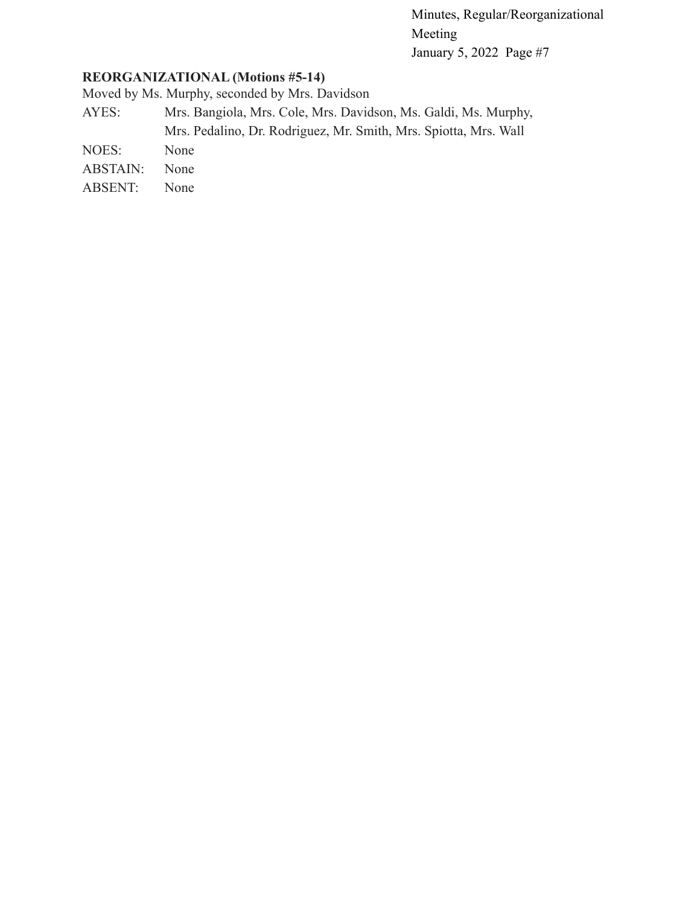# **REORGANIZATIONAL (Motions #5-14)**

Moved by Ms. Murphy, seconded by Mrs. Davidson

- AYES: Mrs. Bangiola, Mrs. Cole, Mrs. Davidson, Ms. Galdi, Ms. Murphy, Mrs. Pedalino, Dr. Rodriguez, Mr. Smith, Mrs. Spiotta, Mrs. Wall
- NOES: None
- ABSTAIN: None
- ABSENT: None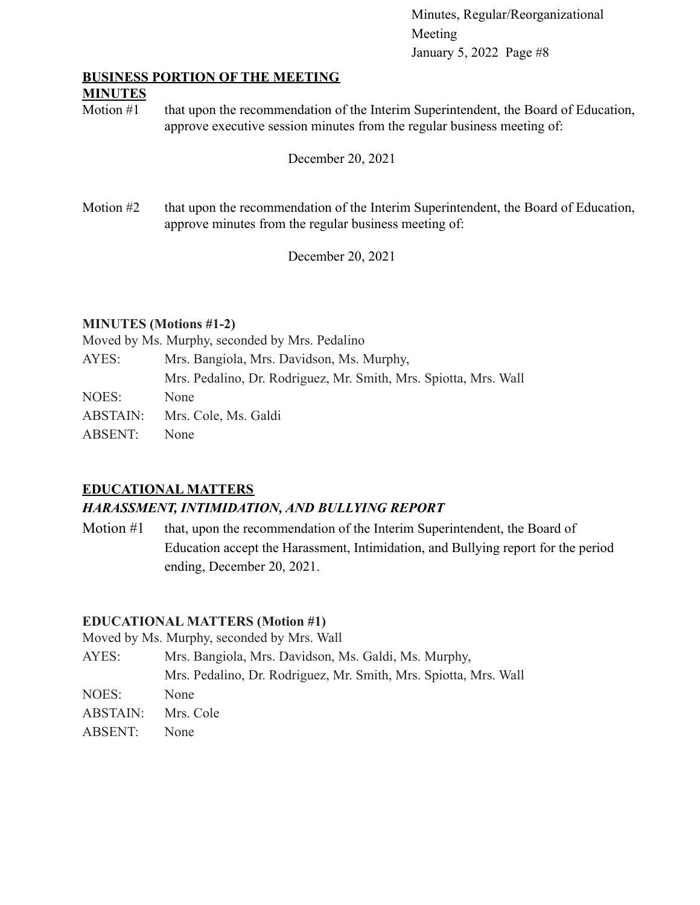### **BUSINESS PORTION OF THE MEETING**

### **MINUTES**

Motion #1 that upon the recommendation of the Interim Superintendent, the Board of Education, approve executive session minutes from the regular business meeting of:

December 20, 2021

Motion #2 that upon the recommendation of the Interim Superintendent, the Board of Education, approve minutes from the regular business meeting of:

December 20, 2021

# **MINUTES (Motions #1-2)**

Moved by Ms. Murphy, seconded by Mrs. Pedalino

| Mrs. Bangiola, Mrs. Davidson, Ms. Murphy,                        |
|------------------------------------------------------------------|
| Mrs. Pedalino, Dr. Rodriguez, Mr. Smith, Mrs. Spiotta, Mrs. Wall |
| None                                                             |
| Mrs. Cole, Ms. Galdi                                             |
| None                                                             |
|                                                                  |

# **EDUCATIONAL MATTERS**

# *HARASSMENT, INTIMIDATION, AND BULLYING REPORT*

Motion #1 that, upon the recommendation of the Interim Superintendent, the Board of Education accept the Harassment, Intimidation, and Bullying report for the period ending, December 20, 2021.

# **EDUCATIONAL MATTERS (Motion #1)**

Moved by Ms. Murphy, seconded by Mrs. Wall

AYES: Mrs. Bangiola, Mrs. Davidson, Ms. Galdi, Ms. Murphy, Mrs. Pedalino, Dr. Rodriguez, Mr. Smith, Mrs. Spiotta, Mrs. Wall NOES: None ABSTAIN: Mrs. Cole ABSENT: None